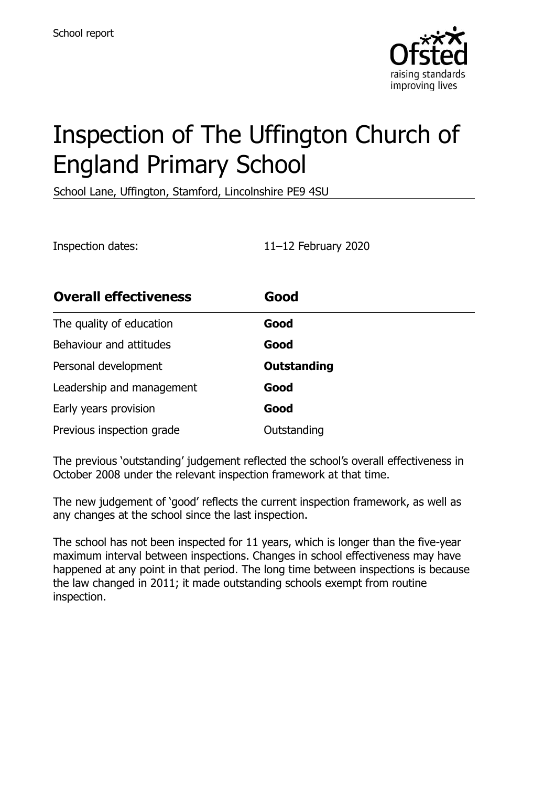

# Inspection of The Uffington Church of England Primary School

School Lane, Uffington, Stamford, Lincolnshire PE9 4SU

Inspection dates: 11–12 February 2020

| <b>Overall effectiveness</b> | Good               |
|------------------------------|--------------------|
| The quality of education     | Good               |
| Behaviour and attitudes      | Good               |
| Personal development         | <b>Outstanding</b> |
| Leadership and management    | Good               |
| Early years provision        | Good               |
| Previous inspection grade    | Outstanding        |

The previous 'outstanding' judgement reflected the school's overall effectiveness in October 2008 under the relevant inspection framework at that time.

The new judgement of 'good' reflects the current inspection framework, as well as any changes at the school since the last inspection.

The school has not been inspected for 11 years, which is longer than the five-year maximum interval between inspections. Changes in school effectiveness may have happened at any point in that period. The long time between inspections is because the law changed in 2011; it made outstanding schools exempt from routine inspection.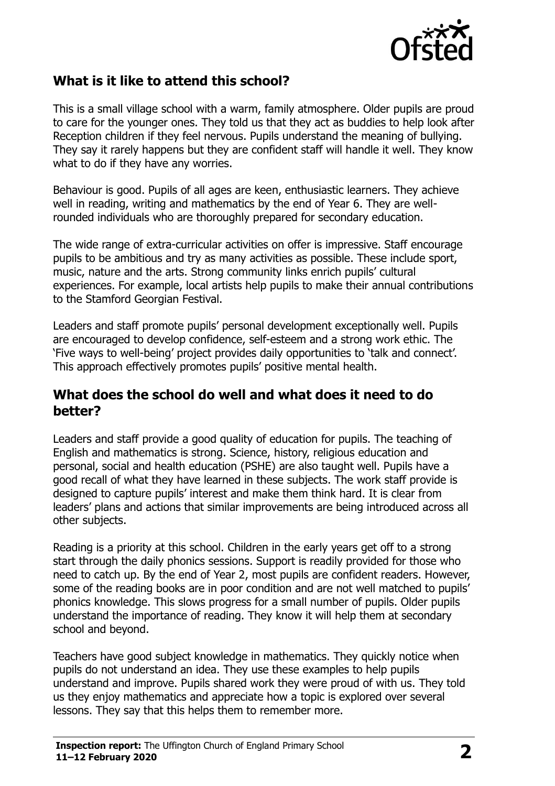

## **What is it like to attend this school?**

This is a small village school with a warm, family atmosphere. Older pupils are proud to care for the younger ones. They told us that they act as buddies to help look after Reception children if they feel nervous. Pupils understand the meaning of bullying. They say it rarely happens but they are confident staff will handle it well. They know what to do if they have any worries.

Behaviour is good. Pupils of all ages are keen, enthusiastic learners. They achieve well in reading, writing and mathematics by the end of Year 6. They are wellrounded individuals who are thoroughly prepared for secondary education.

The wide range of extra-curricular activities on offer is impressive. Staff encourage pupils to be ambitious and try as many activities as possible. These include sport, music, nature and the arts. Strong community links enrich pupils' cultural experiences. For example, local artists help pupils to make their annual contributions to the Stamford Georgian Festival.

Leaders and staff promote pupils' personal development exceptionally well. Pupils are encouraged to develop confidence, self-esteem and a strong work ethic. The 'Five ways to well-being' project provides daily opportunities to 'talk and connect'. This approach effectively promotes pupils' positive mental health.

#### **What does the school do well and what does it need to do better?**

Leaders and staff provide a good quality of education for pupils. The teaching of English and mathematics is strong. Science, history, religious education and personal, social and health education (PSHE) are also taught well. Pupils have a good recall of what they have learned in these subjects. The work staff provide is designed to capture pupils' interest and make them think hard. It is clear from leaders' plans and actions that similar improvements are being introduced across all other subjects.

Reading is a priority at this school. Children in the early years get off to a strong start through the daily phonics sessions. Support is readily provided for those who need to catch up. By the end of Year 2, most pupils are confident readers. However, some of the reading books are in poor condition and are not well matched to pupils' phonics knowledge. This slows progress for a small number of pupils. Older pupils understand the importance of reading. They know it will help them at secondary school and beyond.

Teachers have good subject knowledge in mathematics. They quickly notice when pupils do not understand an idea. They use these examples to help pupils understand and improve. Pupils shared work they were proud of with us. They told us they enjoy mathematics and appreciate how a topic is explored over several lessons. They say that this helps them to remember more.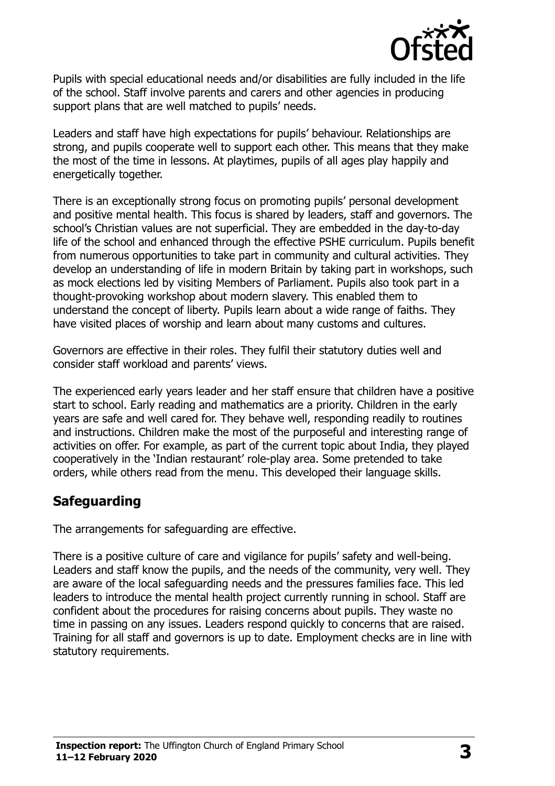

Pupils with special educational needs and/or disabilities are fully included in the life of the school. Staff involve parents and carers and other agencies in producing support plans that are well matched to pupils' needs.

Leaders and staff have high expectations for pupils' behaviour. Relationships are strong, and pupils cooperate well to support each other. This means that they make the most of the time in lessons. At playtimes, pupils of all ages play happily and energetically together.

There is an exceptionally strong focus on promoting pupils' personal development and positive mental health. This focus is shared by leaders, staff and governors. The school's Christian values are not superficial. They are embedded in the day-to-day life of the school and enhanced through the effective PSHE curriculum. Pupils benefit from numerous opportunities to take part in community and cultural activities. They develop an understanding of life in modern Britain by taking part in workshops, such as mock elections led by visiting Members of Parliament. Pupils also took part in a thought-provoking workshop about modern slavery. This enabled them to understand the concept of liberty. Pupils learn about a wide range of faiths. They have visited places of worship and learn about many customs and cultures.

Governors are effective in their roles. They fulfil their statutory duties well and consider staff workload and parents' views.

The experienced early years leader and her staff ensure that children have a positive start to school. Early reading and mathematics are a priority. Children in the early years are safe and well cared for. They behave well, responding readily to routines and instructions. Children make the most of the purposeful and interesting range of activities on offer. For example, as part of the current topic about India, they played cooperatively in the 'Indian restaurant' role-play area. Some pretended to take orders, while others read from the menu. This developed their language skills.

### **Safeguarding**

The arrangements for safeguarding are effective.

There is a positive culture of care and vigilance for pupils' safety and well-being. Leaders and staff know the pupils, and the needs of the community, very well. They are aware of the local safeguarding needs and the pressures families face. This led leaders to introduce the mental health project currently running in school. Staff are confident about the procedures for raising concerns about pupils. They waste no time in passing on any issues. Leaders respond quickly to concerns that are raised. Training for all staff and governors is up to date. Employment checks are in line with statutory requirements.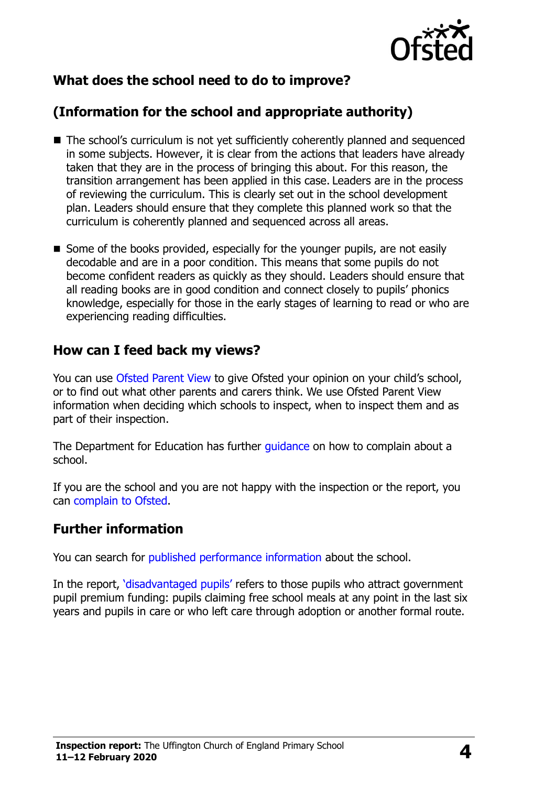

## **What does the school need to do to improve?**

## **(Information for the school and appropriate authority)**

- The school's curriculum is not yet sufficiently coherently planned and sequenced in some subjects. However, it is clear from the actions that leaders have already taken that they are in the process of bringing this about. For this reason, the transition arrangement has been applied in this case. Leaders are in the process of reviewing the curriculum. This is clearly set out in the school development plan. Leaders should ensure that they complete this planned work so that the curriculum is coherently planned and sequenced across all areas.
- Some of the books provided, especially for the younger pupils, are not easily decodable and are in a poor condition. This means that some pupils do not become confident readers as quickly as they should. Leaders should ensure that all reading books are in good condition and connect closely to pupils' phonics knowledge, especially for those in the early stages of learning to read or who are experiencing reading difficulties.

#### **How can I feed back my views?**

You can use [Ofsted Parent View](http://parentview.ofsted.gov.uk/) to give Ofsted your opinion on your child's school, or to find out what other parents and carers think. We use Ofsted Parent View information when deciding which schools to inspect, when to inspect them and as part of their inspection.

The Department for Education has further quidance on how to complain about a school.

If you are the school and you are not happy with the inspection or the report, you can [complain to Ofsted.](http://www.gov.uk/complain-ofsted-report)

### **Further information**

You can search for [published performance information](http://www.compare-school-performance.service.gov.uk/) about the school.

In the report, '[disadvantaged pupils](http://www.gov.uk/guidance/pupil-premium-information-for-schools-and-alternative-provision-settings)' refers to those pupils who attract government pupil premium funding: pupils claiming free school meals at any point in the last six years and pupils in care or who left care through adoption or another formal route.

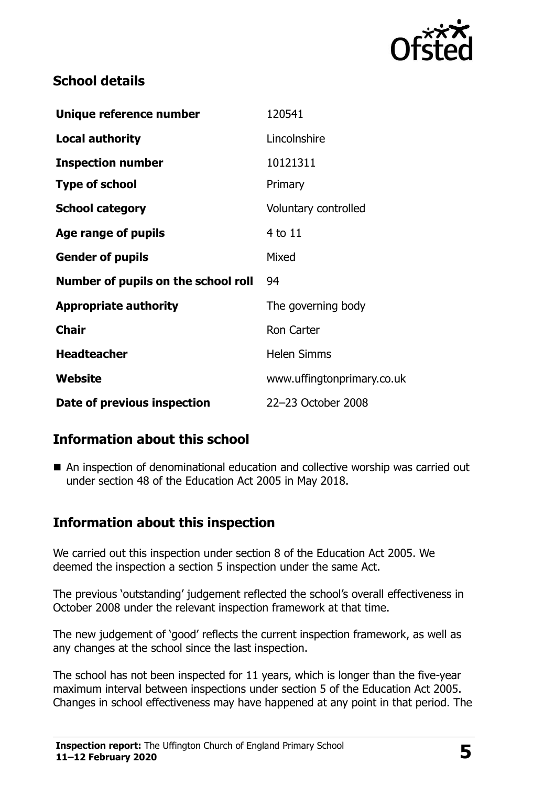

## **School details**

| Unique reference number             | 120541                     |
|-------------------------------------|----------------------------|
| <b>Local authority</b>              | Lincolnshire               |
| <b>Inspection number</b>            | 10121311                   |
| <b>Type of school</b>               | Primary                    |
| <b>School category</b>              | Voluntary controlled       |
| Age range of pupils                 | 4 to 11                    |
| <b>Gender of pupils</b>             | Mixed                      |
| Number of pupils on the school roll | 94                         |
| <b>Appropriate authority</b>        | The governing body         |
| <b>Chair</b>                        | <b>Ron Carter</b>          |
| <b>Headteacher</b>                  | <b>Helen Simms</b>         |
| Website                             | www.uffingtonprimary.co.uk |
| Date of previous inspection         | 22-23 October 2008         |

## **Information about this school**

■ An inspection of denominational education and collective worship was carried out under section 48 of the Education Act 2005 in May 2018.

## **Information about this inspection**

We carried out this inspection under section 8 of the Education Act 2005. We deemed the inspection a section 5 inspection under the same Act.

The previous 'outstanding' judgement reflected the school's overall effectiveness in October 2008 under the relevant inspection framework at that time.

The new judgement of 'good' reflects the current inspection framework, as well as any changes at the school since the last inspection.

The school has not been inspected for 11 years, which is longer than the five-year maximum interval between inspections under section 5 of the Education Act 2005. Changes in school effectiveness may have happened at any point in that period. The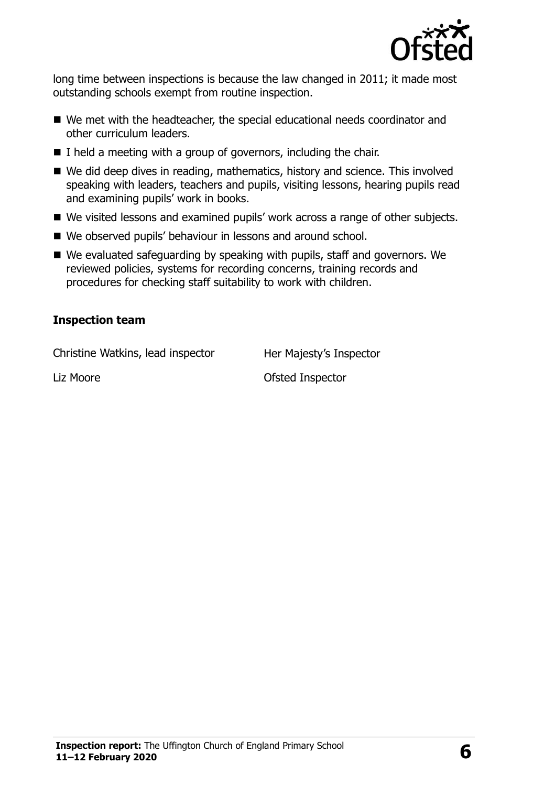

long time between inspections is because the law changed in 2011; it made most outstanding schools exempt from routine inspection.

- We met with the headteacher, the special educational needs coordinator and other curriculum leaders.
- $\blacksquare$  I held a meeting with a group of governors, including the chair.
- We did deep dives in reading, mathematics, history and science. This involved speaking with leaders, teachers and pupils, visiting lessons, hearing pupils read and examining pupils' work in books.
- We visited lessons and examined pupils' work across a range of other subjects.
- We observed pupils' behaviour in lessons and around school.
- We evaluated safeguarding by speaking with pupils, staff and governors. We reviewed policies, systems for recording concerns, training records and procedures for checking staff suitability to work with children.

#### **Inspection team**

Christine Watkins, lead inspector Her Majesty's Inspector

Liz Moore **Contact Contact Contact Contact Contact Contact Contact Contact Contact Contact Contact Contact Contact Contact Contact Contact Contact Contact Contact Contact Contact Contact Contact Contact Contact Contact Con**